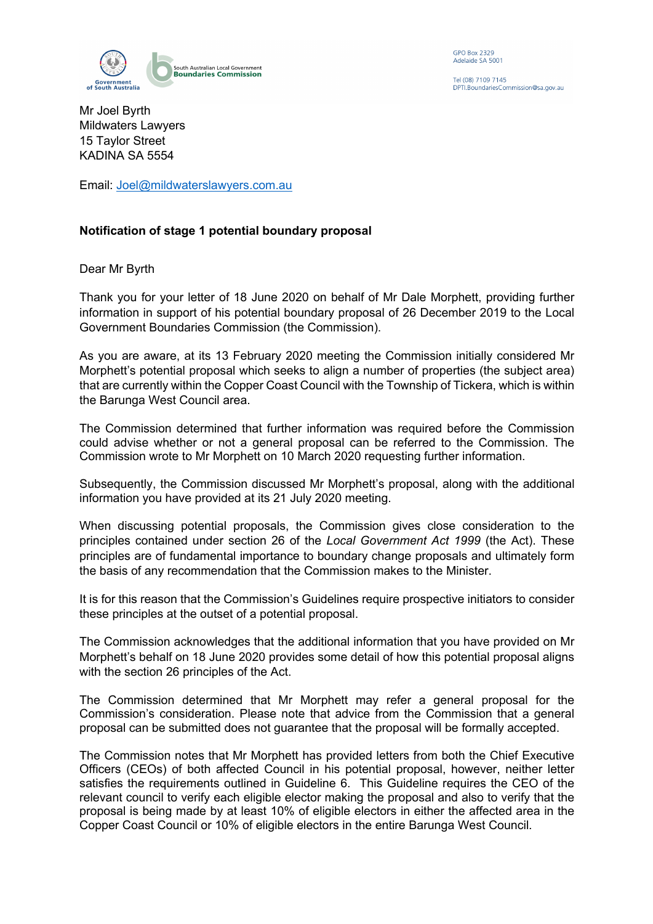

**GPO Box 2329** Adelaide SA 5001

Tel (08) 7109 7145 DPTI.BoundariesCommission@sa.gov.au

Mr Joel Byrth Mildwaters Lawyers 15 Taylor Street KADINA SA 5554

Email: Joel@mildwaterslawyers.com.au

## **Notification of stage 1 potential boundary proposal**

Dear Mr Byrth

Thank you for your letter of 18 June 2020 on behalf of Mr Dale Morphett, providing further information in support of his potential boundary proposal of 26 December 2019 to the Local Government Boundaries Commission (the Commission).

As you are aware, at its 13 February 2020 meeting the Commission initially considered Mr Morphett's potential proposal which seeks to align a number of properties (the subject area) that are currently within the Copper Coast Council with the Township of Tickera, which is within the Barunga West Council area.

The Commission determined that further information was required before the Commission could advise whether or not a general proposal can be referred to the Commission. The Commission wrote to Mr Morphett on 10 March 2020 requesting further information.

Subsequently, the Commission discussed Mr Morphett's proposal, along with the additional information you have provided at its 21 July 2020 meeting.

When discussing potential proposals, the Commission gives close consideration to the principles contained under section 26 of the *Local Government Act 1999* (the Act). These principles are of fundamental importance to boundary change proposals and ultimately form the basis of any recommendation that the Commission makes to the Minister.

It is for this reason that the Commission's Guidelines require prospective initiators to consider these principles at the outset of a potential proposal.

The Commission acknowledges that the additional information that you have provided on Mr Morphett's behalf on 18 June 2020 provides some detail of how this potential proposal aligns with the section 26 principles of the Act.

The Commission determined that Mr Morphett may refer a general proposal for the Commission's consideration. Please note that advice from the Commission that a general proposal can be submitted does not guarantee that the proposal will be formally accepted.

The Commission notes that Mr Morphett has provided letters from both the Chief Executive Officers (CEOs) of both affected Council in his potential proposal, however, neither letter satisfies the requirements outlined in Guideline 6. This Guideline requires the CEO of the relevant council to verify each eligible elector making the proposal and also to verify that the proposal is being made by at least 10% of eligible electors in either the affected area in the Copper Coast Council or 10% of eligible electors in the entire Barunga West Council.